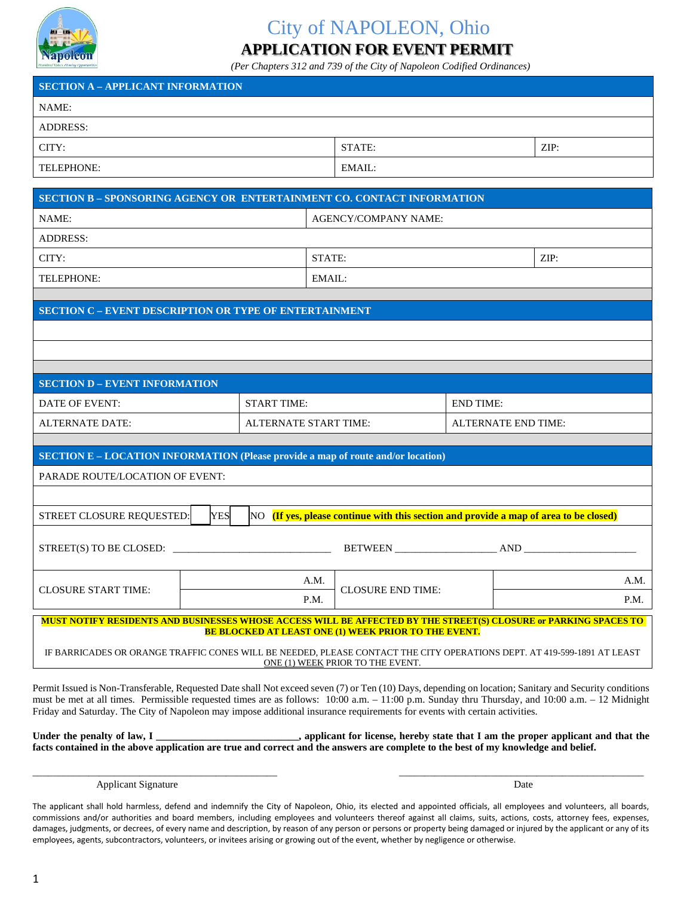

## City of NAPOLEON, Ohio **APPLICATION FOR EVENT PERMIT**

*(Per Chapters 312 and 739 of the City of Napoleon Codified Ordinances)*

## **SECTION A – APPLICANT INFORMATION** NAME: ADDRESS: CITY: STATE: ZIP: TELEPHONE: EMAIL:

| <b>SECTION B - SPONSORING AGENCY OR ENTERTAINMENT CO. CONTACT INFORMATION</b>                                                                                                                                                                                                                              |                    |                                                                                                   |                     |      |  |  |  |
|------------------------------------------------------------------------------------------------------------------------------------------------------------------------------------------------------------------------------------------------------------------------------------------------------------|--------------------|---------------------------------------------------------------------------------------------------|---------------------|------|--|--|--|
| NAME:                                                                                                                                                                                                                                                                                                      |                    | <b>AGENCY/COMPANY NAME:</b>                                                                       |                     |      |  |  |  |
| <b>ADDRESS:</b>                                                                                                                                                                                                                                                                                            |                    |                                                                                                   |                     |      |  |  |  |
| CITY:                                                                                                                                                                                                                                                                                                      |                    | STATE:                                                                                            |                     | ZIP: |  |  |  |
| TELEPHONE:                                                                                                                                                                                                                                                                                                 |                    | EMAIL:                                                                                            |                     |      |  |  |  |
|                                                                                                                                                                                                                                                                                                            |                    |                                                                                                   |                     |      |  |  |  |
| <b>SECTION C - EVENT DESCRIPTION OR TYPE OF ENTERTAINMENT</b>                                                                                                                                                                                                                                              |                    |                                                                                                   |                     |      |  |  |  |
|                                                                                                                                                                                                                                                                                                            |                    |                                                                                                   |                     |      |  |  |  |
|                                                                                                                                                                                                                                                                                                            |                    |                                                                                                   |                     |      |  |  |  |
| <b>SECTION D - EVENT INFORMATION</b>                                                                                                                                                                                                                                                                       |                    |                                                                                                   |                     |      |  |  |  |
| <b>DATE OF EVENT:</b>                                                                                                                                                                                                                                                                                      | <b>START TIME:</b> | <b>END TIME:</b>                                                                                  |                     |      |  |  |  |
| <b>ALTERNATE DATE:</b>                                                                                                                                                                                                                                                                                     |                    | <b>ALTERNATE START TIME:</b>                                                                      | ALTERNATE END TIME: |      |  |  |  |
|                                                                                                                                                                                                                                                                                                            |                    |                                                                                                   |                     |      |  |  |  |
| <b>SECTION E - LOCATION INFORMATION (Please provide a map of route and/or location)</b>                                                                                                                                                                                                                    |                    |                                                                                                   |                     |      |  |  |  |
| PARADE ROUTE/LOCATION OF EVENT:                                                                                                                                                                                                                                                                            |                    |                                                                                                   |                     |      |  |  |  |
|                                                                                                                                                                                                                                                                                                            |                    |                                                                                                   |                     |      |  |  |  |
| STREET CLOSURE REQUESTED:                                                                                                                                                                                                                                                                                  | <b>YES</b>         | $\overline{N}$ (If yes, please continue with this section and provide a map of area to be closed) |                     |      |  |  |  |
|                                                                                                                                                                                                                                                                                                            |                    |                                                                                                   |                     |      |  |  |  |
|                                                                                                                                                                                                                                                                                                            |                    | A.M.<br><b>CLOSURE END TIME:</b><br>P.M.                                                          |                     | A.M. |  |  |  |
| <b>CLOSURE START TIME:</b>                                                                                                                                                                                                                                                                                 |                    |                                                                                                   |                     | P.M. |  |  |  |
| MUST NOTIFY RESIDENTS AND BUSINESSES WHOSE ACCESS WILL BE AFFECTED BY THE STREET(S) CLOSURE or PARKING SPACES TO<br><b>BE BLOCKED AT LEAST ONE (1) WEEK PRIOR TO THE EVENT.</b><br>IF BARRICADES OR ORANGE TRAFFIC CONES WILL BE NEEDED, PLEASE CONTACT THE CITY OPERATIONS DEPT. AT 419-599-1891 AT LEAST |                    |                                                                                                   |                     |      |  |  |  |
| ONE (1) WEEK PRIOR TO THE EVENT.                                                                                                                                                                                                                                                                           |                    |                                                                                                   |                     |      |  |  |  |

Permit Issued is Non-Transferable, Requested Date shall Not exceed seven (7) or Ten (10) Days, depending on location; Sanitary and Security conditions must be met at all times. Permissible requested times are as follows: 10:00 a.m. – 11:00 p.m. Sunday thru Thursday, and 10:00 a.m. – 12 Midnight Friday and Saturday. The City of Napoleon may impose additional insurance requirements for events with certain activities.

| Under the penalty of law, I | , applicant for license, hereby state that I am the proper applicant and that the                                                  |
|-----------------------------|------------------------------------------------------------------------------------------------------------------------------------|
|                             | facts contained in the above application are true and correct and the answers are complete to the best of my knowledge and belief. |

\_\_\_\_\_\_\_\_\_\_\_\_\_\_\_\_\_\_\_\_\_\_\_\_\_\_\_\_\_\_\_\_\_\_\_\_\_\_\_\_\_\_\_\_\_\_\_\_ \_\_\_\_\_\_\_\_\_\_\_\_\_\_\_\_\_\_\_\_\_\_\_\_\_\_\_\_\_\_\_\_\_\_\_\_\_\_\_\_\_\_\_\_\_\_\_\_

Applicant Signature Date and Signature Date of the Second Laboratory of the Date of the Date of the Date of the Date of the Date of the Date of the Date of the Date of the Date of the Date of the Date of the Date of the Da

The applicant shall hold harmless, defend and indemnify the City of Napoleon, Ohio, its elected and appointed officials, all employees and volunteers, all boards, commissions and/or authorities and board members, including employees and volunteers thereof against all claims, suits, actions, costs, attorney fees, expenses, damages, judgments, or decrees, of every name and description, by reason of any person or persons or property being damaged or injured by the applicant or any of its employees, agents, subcontractors, volunteers, or invitees arising or growing out of the event, whether by negligence or otherwise.